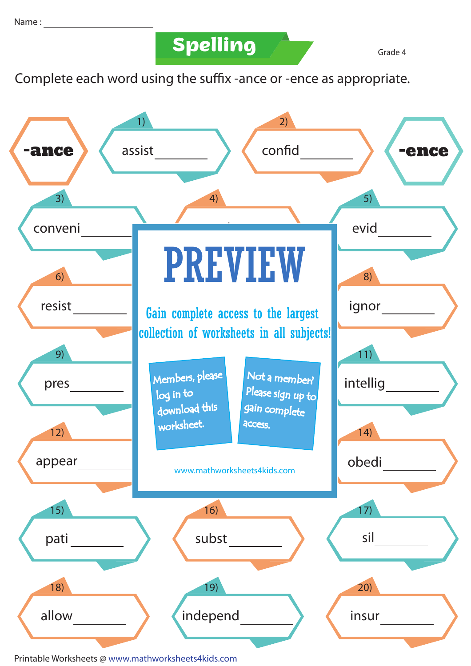**Spelling** Grade 4

Complete each word using the suffix -ance or -ence as appropriate.



Printable Worksheets @ www.mathworksheets4kids.com